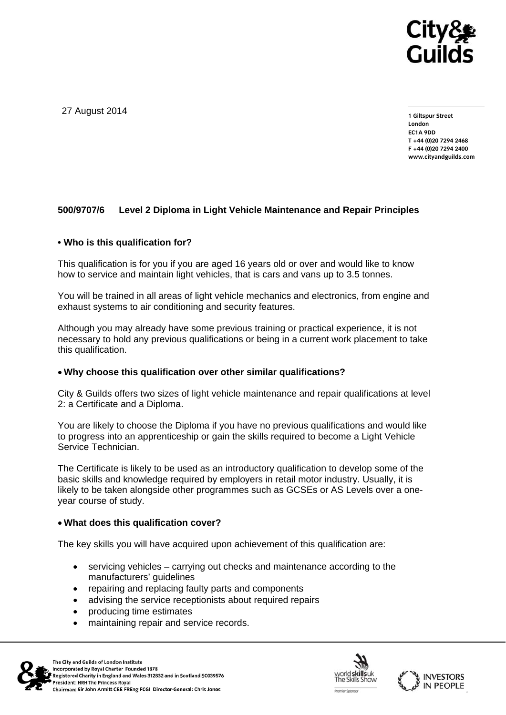

27 August 2014

**1 Giltspur Street London EC1A 9DD T +44 (0)20 7294 2468 F +44 (0)20 7294 2400 www.cityandguilds.com** 

## **500/9707/6 Level 2 Diploma in Light Vehicle Maintenance and Repair Principles**

## **• Who is this qualification for?**

This qualification is for you if you are aged 16 years old or over and would like to know how to service and maintain light vehicles, that is cars and vans up to 3.5 tonnes.

You will be trained in all areas of light vehicle mechanics and electronics, from engine and exhaust systems to air conditioning and security features.

Although you may already have some previous training or practical experience, it is not necessary to hold any previous qualifications or being in a current work placement to take this qualification.

## **Why choose this qualification over other similar qualifications?**

City & Guilds offers two sizes of light vehicle maintenance and repair qualifications at level 2: a Certificate and a Diploma.

You are likely to choose the Diploma if you have no previous qualifications and would like to progress into an apprenticeship or gain the skills required to become a Light Vehicle Service Technician.

The Certificate is likely to be used as an introductory qualification to develop some of the basic skills and knowledge required by employers in retail motor industry. Usually, it is likely to be taken alongside other programmes such as GCSEs or AS Levels over a oneyear course of study.

#### **What does this qualification cover?**

The key skills you will have acquired upon achievement of this qualification are:

- servicing vehicles carrying out checks and maintenance according to the manufacturers' guidelines
- repairing and replacing faulty parts and components
- advising the service receptionists about required repairs
- producing time estimates
- maintaining repair and service records.